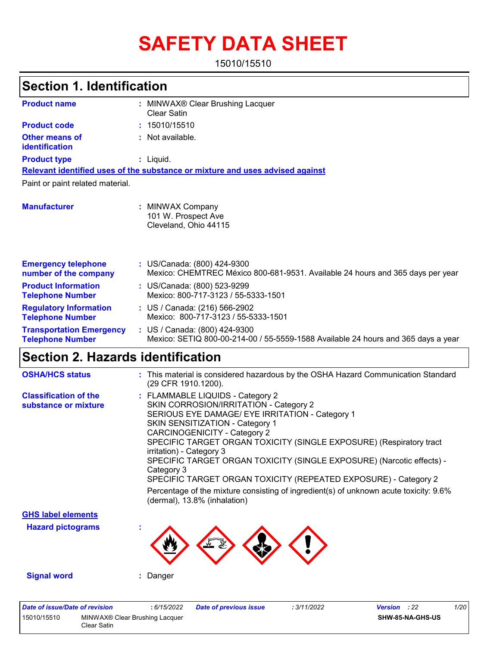# **SAFETY DATA SHEET**

15010/15510

#### MINWAX® Clear Brushing Lacquer **:** Clear Satin **:** Not available. Liquid. **:** US/Canada: (800) 424-9300 **:** Mexico: CHEMTREC México 800-681-9531. Available 24 hours and 365 days per year **Product name Other means of identification Product type Emergency telephone number of the company Section 1. Identification Manufacturer :** MINWAX Company 101 W. Prospect Ave Cleveland, Ohio 44115 **Relevant identified uses of the substance or mixture and uses advised against** Paint or paint related material. **Product code :** 15010/15510 **Product Information Telephone Number :** US/Canada: (800) 523-9299 Mexico: 800-717-3123 / 55-5333-1501 **Regulatory Information Telephone Number :** US / Canada: (216) 566-2902 Mexico: 800-717-3123 / 55-5333-1501 **Transportation Emergency Telephone Number :** US / Canada: (800) 424-9300 Mexico: SETIQ 800-00-214-00 / 55-5559-1588 Available 24 hours and 365 days a year

### **Section 2. Hazards identification**

| <b>OSHA/HCS status</b>                               | : This material is considered hazardous by the OSHA Hazard Communication Standard<br>(29 CFR 1910.1200).                                                                                                                                                                                                                                                                                                                                                                                                                                                                               |
|------------------------------------------------------|----------------------------------------------------------------------------------------------------------------------------------------------------------------------------------------------------------------------------------------------------------------------------------------------------------------------------------------------------------------------------------------------------------------------------------------------------------------------------------------------------------------------------------------------------------------------------------------|
| <b>Classification of the</b><br>substance or mixture | : FLAMMABLE LIQUIDS - Category 2<br>SKIN CORROSION/IRRITATION - Category 2<br>SERIOUS EYE DAMAGE/ EYE IRRITATION - Category 1<br>SKIN SENSITIZATION - Category 1<br>CARCINOGENICITY - Category 2<br>SPECIFIC TARGET ORGAN TOXICITY (SINGLE EXPOSURE) (Respiratory tract<br>irritation) - Category 3<br>SPECIFIC TARGET ORGAN TOXICITY (SINGLE EXPOSURE) (Narcotic effects) -<br>Category 3<br>SPECIFIC TARGET ORGAN TOXICITY (REPEATED EXPOSURE) - Category 2<br>Percentage of the mixture consisting of ingredient(s) of unknown acute toxicity: 9.6%<br>(dermal), 13.8% (inhalation) |
| <b>GHS label elements</b>                            |                                                                                                                                                                                                                                                                                                                                                                                                                                                                                                                                                                                        |
| <b>Hazard pictograms</b>                             |                                                                                                                                                                                                                                                                                                                                                                                                                                                                                                                                                                                        |
| <b>Signal word</b>                                   | : Danger                                                                                                                                                                                                                                                                                                                                                                                                                                                                                                                                                                               |

| Date of issue/Date of revision |                                               | : 6/15/2022 | <b>Date of previous issue</b> | : 3/11/2022 | <b>Version</b> : 22 |                  | 1/20 |
|--------------------------------|-----------------------------------------------|-------------|-------------------------------|-------------|---------------------|------------------|------|
| 15010/15510                    | MINWAX® Clear Brushing Lacquer<br>Clear Satin |             |                               |             |                     | SHW-85-NA-GHS-US |      |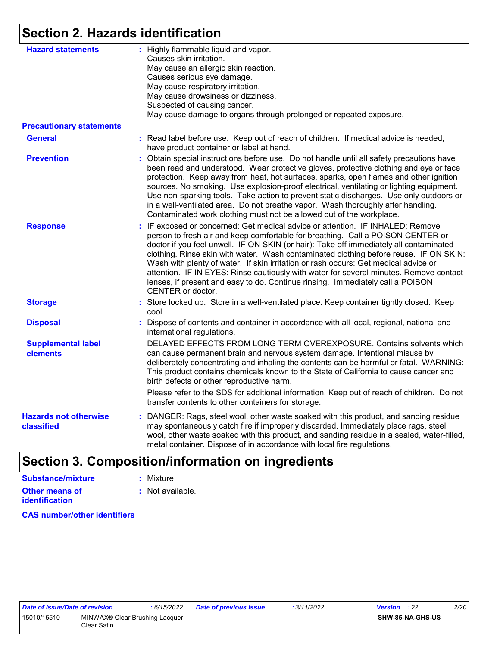### **Section 2. Hazards identification**

| <b>Hazard statements</b>                   | : Highly flammable liquid and vapor.<br>Causes skin irritation.<br>May cause an allergic skin reaction.<br>Causes serious eye damage.<br>May cause respiratory irritation.<br>May cause drowsiness or dizziness.<br>Suspected of causing cancer.<br>May cause damage to organs through prolonged or repeated exposure.                                                                                                                                                                                                                                                                                                                       |
|--------------------------------------------|----------------------------------------------------------------------------------------------------------------------------------------------------------------------------------------------------------------------------------------------------------------------------------------------------------------------------------------------------------------------------------------------------------------------------------------------------------------------------------------------------------------------------------------------------------------------------------------------------------------------------------------------|
| <b>Precautionary statements</b>            |                                                                                                                                                                                                                                                                                                                                                                                                                                                                                                                                                                                                                                              |
| <b>General</b>                             | : Read label before use. Keep out of reach of children. If medical advice is needed,<br>have product container or label at hand.                                                                                                                                                                                                                                                                                                                                                                                                                                                                                                             |
| <b>Prevention</b>                          | Obtain special instructions before use. Do not handle until all safety precautions have<br>been read and understood. Wear protective gloves, protective clothing and eye or face<br>protection. Keep away from heat, hot surfaces, sparks, open flames and other ignition<br>sources. No smoking. Use explosion-proof electrical, ventilating or lighting equipment.<br>Use non-sparking tools. Take action to prevent static discharges. Use only outdoors or<br>in a well-ventilated area. Do not breathe vapor. Wash thoroughly after handling.<br>Contaminated work clothing must not be allowed out of the workplace.                   |
| <b>Response</b>                            | : IF exposed or concerned: Get medical advice or attention. IF INHALED: Remove<br>person to fresh air and keep comfortable for breathing. Call a POISON CENTER or<br>doctor if you feel unwell. IF ON SKIN (or hair): Take off immediately all contaminated<br>clothing. Rinse skin with water. Wash contaminated clothing before reuse. IF ON SKIN:<br>Wash with plenty of water. If skin irritation or rash occurs: Get medical advice or<br>attention. IF IN EYES: Rinse cautiously with water for several minutes. Remove contact<br>lenses, if present and easy to do. Continue rinsing. Immediately call a POISON<br>CENTER or doctor. |
| <b>Storage</b>                             | : Store locked up. Store in a well-ventilated place. Keep container tightly closed. Keep<br>cool.                                                                                                                                                                                                                                                                                                                                                                                                                                                                                                                                            |
| <b>Disposal</b>                            | : Dispose of contents and container in accordance with all local, regional, national and<br>international regulations.                                                                                                                                                                                                                                                                                                                                                                                                                                                                                                                       |
| <b>Supplemental label</b><br>elements      | DELAYED EFFECTS FROM LONG TERM OVEREXPOSURE. Contains solvents which<br>can cause permanent brain and nervous system damage. Intentional misuse by<br>deliberately concentrating and inhaling the contents can be harmful or fatal. WARNING:<br>This product contains chemicals known to the State of California to cause cancer and<br>birth defects or other reproductive harm.                                                                                                                                                                                                                                                            |
|                                            | Please refer to the SDS for additional information. Keep out of reach of children. Do not<br>transfer contents to other containers for storage.                                                                                                                                                                                                                                                                                                                                                                                                                                                                                              |
| <b>Hazards not otherwise</b><br>classified | : DANGER: Rags, steel wool, other waste soaked with this product, and sanding residue<br>may spontaneously catch fire if improperly discarded. Immediately place rags, steel<br>wool, other waste soaked with this product, and sanding residue in a sealed, water-filled,<br>metal container. Dispose of in accordance with local fire regulations.                                                                                                                                                                                                                                                                                         |

#### **Section 3. Composition/information on ingredients Substance/mixture :** Mixture

| oupolanu <del>c</del> /mixture | . MIALUIT        |
|--------------------------------|------------------|
| <b>Other means of</b>          | : Not available. |
| <b>identification</b>          |                  |

**CAS number/other identifiers**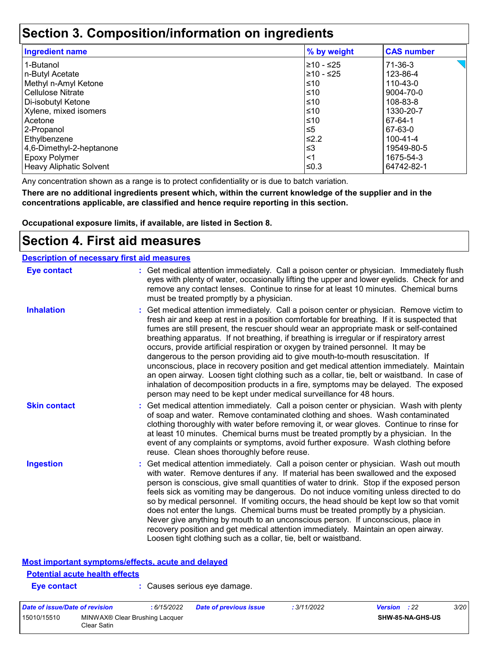### **Section 3. Composition/information on ingredients**

| <b>Ingredient name</b>   | % by weight | <b>CAS number</b> |
|--------------------------|-------------|-------------------|
| 1-Butanol                | 210 - ≤25   | 71-36-3           |
| n-Butyl Acetate          | ≥10 - ≤25   | 123-86-4          |
| Methyl n-Amyl Ketone     | ≤10         | 110-43-0          |
| <b>Cellulose Nitrate</b> | ≤10         | 9004-70-0         |
| Di-isobutyl Ketone       | ≤10         | 108-83-8          |
| Xylene, mixed isomers    | $≤10$       | 1330-20-7         |
| Acetone                  | ≤10         | 67-64-1           |
| 2-Propanol               | $\leq 5$    | 67-63-0           |
| Ethylbenzene             | ≰2.2        | 100-41-4          |
| 4,6-Dimethyl-2-heptanone | $≤3$        | 19549-80-5        |
| <b>Epoxy Polymer</b>     | $<$ 1       | 1675-54-3         |
| Heavy Aliphatic Solvent  | ≤0.3        | 64742-82-1        |

Any concentration shown as a range is to protect confidentiality or is due to batch variation.

**There are no additional ingredients present which, within the current knowledge of the supplier and in the concentrations applicable, are classified and hence require reporting in this section.**

**Occupational exposure limits, if available, are listed in Section 8.**

### **Section 4. First aid measures**

| <b>Description of necessary first aid measures</b> |                                                                                                                                                                                                                                                                                                                                                                                                                                                                                                                                                                                                                                                                                                                                                                                                                                                                                                              |
|----------------------------------------------------|--------------------------------------------------------------------------------------------------------------------------------------------------------------------------------------------------------------------------------------------------------------------------------------------------------------------------------------------------------------------------------------------------------------------------------------------------------------------------------------------------------------------------------------------------------------------------------------------------------------------------------------------------------------------------------------------------------------------------------------------------------------------------------------------------------------------------------------------------------------------------------------------------------------|
| <b>Eye contact</b>                                 | : Get medical attention immediately. Call a poison center or physician. Immediately flush<br>eyes with plenty of water, occasionally lifting the upper and lower eyelids. Check for and<br>remove any contact lenses. Continue to rinse for at least 10 minutes. Chemical burns<br>must be treated promptly by a physician.                                                                                                                                                                                                                                                                                                                                                                                                                                                                                                                                                                                  |
| <b>Inhalation</b>                                  | : Get medical attention immediately. Call a poison center or physician. Remove victim to<br>fresh air and keep at rest in a position comfortable for breathing. If it is suspected that<br>fumes are still present, the rescuer should wear an appropriate mask or self-contained<br>breathing apparatus. If not breathing, if breathing is irregular or if respiratory arrest<br>occurs, provide artificial respiration or oxygen by trained personnel. It may be<br>dangerous to the person providing aid to give mouth-to-mouth resuscitation. If<br>unconscious, place in recovery position and get medical attention immediately. Maintain<br>an open airway. Loosen tight clothing such as a collar, tie, belt or waistband. In case of<br>inhalation of decomposition products in a fire, symptoms may be delayed. The exposed<br>person may need to be kept under medical surveillance for 48 hours. |
| <b>Skin contact</b>                                | : Get medical attention immediately. Call a poison center or physician. Wash with plenty<br>of soap and water. Remove contaminated clothing and shoes. Wash contaminated<br>clothing thoroughly with water before removing it, or wear gloves. Continue to rinse for<br>at least 10 minutes. Chemical burns must be treated promptly by a physician. In the<br>event of any complaints or symptoms, avoid further exposure. Wash clothing before<br>reuse. Clean shoes thoroughly before reuse.                                                                                                                                                                                                                                                                                                                                                                                                              |
| <b>Ingestion</b>                                   | : Get medical attention immediately. Call a poison center or physician. Wash out mouth<br>with water. Remove dentures if any. If material has been swallowed and the exposed<br>person is conscious, give small quantities of water to drink. Stop if the exposed person<br>feels sick as vomiting may be dangerous. Do not induce vomiting unless directed to do<br>so by medical personnel. If vomiting occurs, the head should be kept low so that vomit<br>does not enter the lungs. Chemical burns must be treated promptly by a physician.<br>Never give anything by mouth to an unconscious person. If unconscious, place in<br>recovery position and get medical attention immediately. Maintain an open airway.<br>Loosen tight clothing such as a collar, tie, belt or waistband.                                                                                                                  |

#### **Most important symptoms/effects, acute and delayed**

### **Potential acute health effects**

**Eye contact :** Causes serious eye damage.

| Date of issue/Date of revision |                                               | : 6/15/2022 | <b>Date of previous issue</b> | : 3/11/2022 | <b>Version</b> : 22 | 3/20 |
|--------------------------------|-----------------------------------------------|-------------|-------------------------------|-------------|---------------------|------|
| 15010/15510                    | MINWAX® Clear Brushing Lacquer<br>Clear Satin |             |                               |             | SHW-85-NA-GHS-US    |      |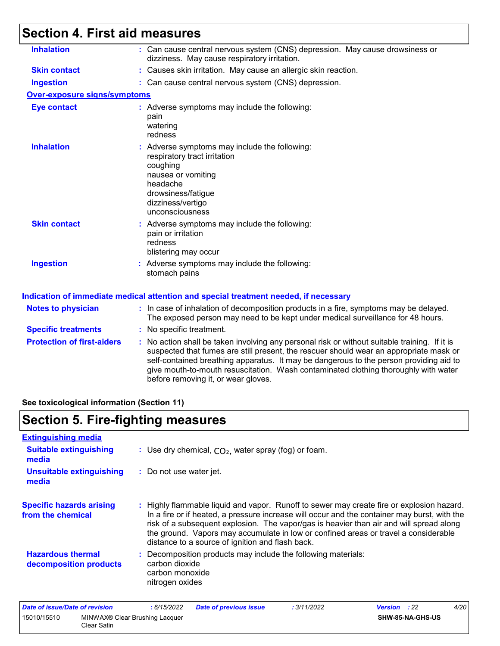## **Section 4. First aid measures**

| <b>Inhalation</b>                   | : Can cause central nervous system (CNS) depression. May cause drowsiness or<br>dizziness. May cause respiratory irritation.                                                                                                                                                                                                                                                                                    |
|-------------------------------------|-----------------------------------------------------------------------------------------------------------------------------------------------------------------------------------------------------------------------------------------------------------------------------------------------------------------------------------------------------------------------------------------------------------------|
| <b>Skin contact</b>                 | : Causes skin irritation. May cause an allergic skin reaction.                                                                                                                                                                                                                                                                                                                                                  |
| <b>Ingestion</b>                    | : Can cause central nervous system (CNS) depression.                                                                                                                                                                                                                                                                                                                                                            |
| <b>Over-exposure signs/symptoms</b> |                                                                                                                                                                                                                                                                                                                                                                                                                 |
| <b>Eye contact</b>                  | : Adverse symptoms may include the following:<br>pain<br>watering<br>redness                                                                                                                                                                                                                                                                                                                                    |
| <b>Inhalation</b>                   | : Adverse symptoms may include the following:<br>respiratory tract irritation<br>coughing<br>nausea or vomiting<br>headache<br>drowsiness/fatigue<br>dizziness/vertigo<br>unconsciousness                                                                                                                                                                                                                       |
| <b>Skin contact</b>                 | : Adverse symptoms may include the following:<br>pain or irritation<br>redness<br>blistering may occur                                                                                                                                                                                                                                                                                                          |
| <b>Ingestion</b>                    | : Adverse symptoms may include the following:<br>stomach pains                                                                                                                                                                                                                                                                                                                                                  |
|                                     | Indication of immediate medical attention and special treatment needed, if necessary                                                                                                                                                                                                                                                                                                                            |
| <b>Notes to physician</b>           | : In case of inhalation of decomposition products in a fire, symptoms may be delayed.<br>The exposed person may need to be kept under medical surveillance for 48 hours.                                                                                                                                                                                                                                        |
| <b>Specific treatments</b>          | : No specific treatment.                                                                                                                                                                                                                                                                                                                                                                                        |
| <b>Protection of first-aiders</b>   | : No action shall be taken involving any personal risk or without suitable training. If it is<br>suspected that fumes are still present, the rescuer should wear an appropriate mask or<br>self-contained breathing apparatus. It may be dangerous to the person providing aid to<br>give mouth-to-mouth resuscitation. Wash contaminated clothing thoroughly with water<br>before removing it, or wear gloves. |
|                                     |                                                                                                                                                                                                                                                                                                                                                                                                                 |

**See toxicological information (Section 11)**

### **Section 5. Fire-fighting measures**

| : Use dry chemical, $CO2$ , water spray (fog) or foam.                                                                                                                                                                                                                                                                                                                                                                          |
|---------------------------------------------------------------------------------------------------------------------------------------------------------------------------------------------------------------------------------------------------------------------------------------------------------------------------------------------------------------------------------------------------------------------------------|
| : Do not use water jet.                                                                                                                                                                                                                                                                                                                                                                                                         |
| : Highly flammable liquid and vapor. Runoff to sewer may create fire or explosion hazard.<br>In a fire or if heated, a pressure increase will occur and the container may burst, with the<br>risk of a subsequent explosion. The vapor/gas is heavier than air and will spread along<br>the ground. Vapors may accumulate in low or confined areas or travel a considerable<br>distance to a source of ignition and flash back. |
| : Decomposition products may include the following materials:<br>carbon dioxide<br>carbon monoxide<br>nitrogen oxides                                                                                                                                                                                                                                                                                                           |
|                                                                                                                                                                                                                                                                                                                                                                                                                                 |

| Date of issue/Date of revision |                                               | 6/15/2022 | <b>Date of previous issue</b> | : 3/11/2022 | <b>Version</b> : 22 |                  | 4/20 |
|--------------------------------|-----------------------------------------------|-----------|-------------------------------|-------------|---------------------|------------------|------|
| 15010/15510                    | MINWAX® Clear Brushing Lacquer<br>Clear Satin |           |                               |             |                     | SHW-85-NA-GHS-US |      |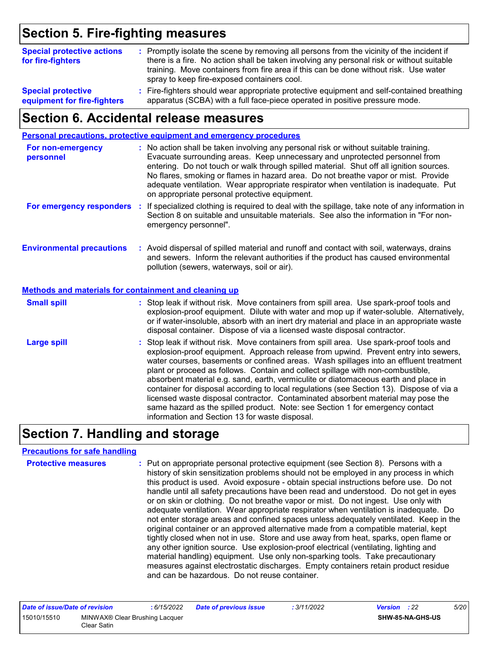### **Section 5. Fire-fighting measures**

| <b>Special protective actions</b><br>for fire-fighters   | : Promptly isolate the scene by removing all persons from the vicinity of the incident if<br>there is a fire. No action shall be taken involving any personal risk or without suitable<br>training. Move containers from fire area if this can be done without risk. Use water<br>spray to keep fire-exposed containers cool. |  |
|----------------------------------------------------------|-------------------------------------------------------------------------------------------------------------------------------------------------------------------------------------------------------------------------------------------------------------------------------------------------------------------------------|--|
| <b>Special protective</b><br>equipment for fire-fighters | : Fire-fighters should wear appropriate protective equipment and self-contained breathing<br>apparatus (SCBA) with a full face-piece operated in positive pressure mode.                                                                                                                                                      |  |

### **Section 6. Accidental release measures**

|                                                       | Personal precautions, protective equipment and emergency procedures                                                                                                                                                                                                                                                                                                                                                                                                                                                                                                                                                                                                                                                                                                  |
|-------------------------------------------------------|----------------------------------------------------------------------------------------------------------------------------------------------------------------------------------------------------------------------------------------------------------------------------------------------------------------------------------------------------------------------------------------------------------------------------------------------------------------------------------------------------------------------------------------------------------------------------------------------------------------------------------------------------------------------------------------------------------------------------------------------------------------------|
| For non-emergency<br>personnel                        | : No action shall be taken involving any personal risk or without suitable training.<br>Evacuate surrounding areas. Keep unnecessary and unprotected personnel from<br>entering. Do not touch or walk through spilled material. Shut off all ignition sources.<br>No flares, smoking or flames in hazard area. Do not breathe vapor or mist. Provide<br>adequate ventilation. Wear appropriate respirator when ventilation is inadequate. Put<br>on appropriate personal protective equipment.                                                                                                                                                                                                                                                                       |
| For emergency responders                              | : If specialized clothing is required to deal with the spillage, take note of any information in<br>Section 8 on suitable and unsuitable materials. See also the information in "For non-<br>emergency personnel".                                                                                                                                                                                                                                                                                                                                                                                                                                                                                                                                                   |
| <b>Environmental precautions</b>                      | : Avoid dispersal of spilled material and runoff and contact with soil, waterways, drains<br>and sewers. Inform the relevant authorities if the product has caused environmental<br>pollution (sewers, waterways, soil or air).                                                                                                                                                                                                                                                                                                                                                                                                                                                                                                                                      |
| Methods and materials for containment and cleaning up |                                                                                                                                                                                                                                                                                                                                                                                                                                                                                                                                                                                                                                                                                                                                                                      |
| <b>Small spill</b>                                    | : Stop leak if without risk. Move containers from spill area. Use spark-proof tools and<br>explosion-proof equipment. Dilute with water and mop up if water-soluble. Alternatively,<br>or if water-insoluble, absorb with an inert dry material and place in an appropriate waste<br>disposal container. Dispose of via a licensed waste disposal contractor.                                                                                                                                                                                                                                                                                                                                                                                                        |
| <b>Large spill</b>                                    | : Stop leak if without risk. Move containers from spill area. Use spark-proof tools and<br>explosion-proof equipment. Approach release from upwind. Prevent entry into sewers,<br>water courses, basements or confined areas. Wash spillages into an effluent treatment<br>plant or proceed as follows. Contain and collect spillage with non-combustible,<br>absorbent material e.g. sand, earth, vermiculite or diatomaceous earth and place in<br>container for disposal according to local regulations (see Section 13). Dispose of via a<br>licensed waste disposal contractor. Contaminated absorbent material may pose the<br>same hazard as the spilled product. Note: see Section 1 for emergency contact<br>information and Section 13 for waste disposal. |

### **Section 7. Handling and storage**

#### **Precautions for safe handling**

| <b>Protective measures</b> | : Put on appropriate personal protective equipment (see Section 8). Persons with a<br>history of skin sensitization problems should not be employed in any process in which<br>this product is used. Avoid exposure - obtain special instructions before use. Do not<br>handle until all safety precautions have been read and understood. Do not get in eyes<br>or on skin or clothing. Do not breathe vapor or mist. Do not ingest. Use only with<br>adequate ventilation. Wear appropriate respirator when ventilation is inadequate. Do<br>not enter storage areas and confined spaces unless adequately ventilated. Keep in the<br>original container or an approved alternative made from a compatible material, kept<br>tightly closed when not in use. Store and use away from heat, sparks, open flame or<br>any other ignition source. Use explosion-proof electrical (ventilating, lighting and<br>material handling) equipment. Use only non-sparking tools. Take precautionary<br>measures against electrostatic discharges. Empty containers retain product residue<br>and can be hazardous. Do not reuse container. |
|----------------------------|------------------------------------------------------------------------------------------------------------------------------------------------------------------------------------------------------------------------------------------------------------------------------------------------------------------------------------------------------------------------------------------------------------------------------------------------------------------------------------------------------------------------------------------------------------------------------------------------------------------------------------------------------------------------------------------------------------------------------------------------------------------------------------------------------------------------------------------------------------------------------------------------------------------------------------------------------------------------------------------------------------------------------------------------------------------------------------------------------------------------------------|
|----------------------------|------------------------------------------------------------------------------------------------------------------------------------------------------------------------------------------------------------------------------------------------------------------------------------------------------------------------------------------------------------------------------------------------------------------------------------------------------------------------------------------------------------------------------------------------------------------------------------------------------------------------------------------------------------------------------------------------------------------------------------------------------------------------------------------------------------------------------------------------------------------------------------------------------------------------------------------------------------------------------------------------------------------------------------------------------------------------------------------------------------------------------------|

| Date of issue/Date of revision |                                               | 6/15/2022 | <b>Date of previous issue</b> | : 3/11/2022 | <b>Version</b> : 22 |                  | 5/20 |
|--------------------------------|-----------------------------------------------|-----------|-------------------------------|-------------|---------------------|------------------|------|
| 15010/15510                    | MINWAX® Clear Brushing Lacquer<br>Clear Satin |           |                               |             |                     | SHW-85-NA-GHS-US |      |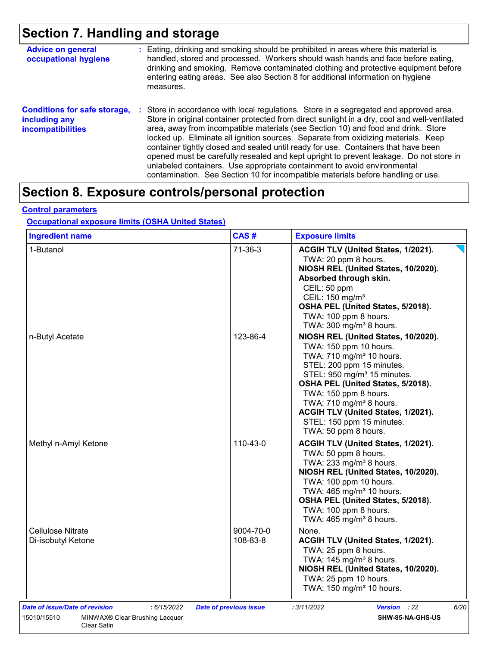## **Section 7. Handling and storage**

| <b>Advice on general</b><br>occupational hygiene                                 | : Eating, drinking and smoking should be prohibited in areas where this material is<br>handled, stored and processed. Workers should wash hands and face before eating,<br>drinking and smoking. Remove contaminated clothing and protective equipment before<br>entering eating areas. See also Section 8 for additional information on hygiene<br>measures.                                                                                                                                                                                                                                                                                                                                                      |
|----------------------------------------------------------------------------------|--------------------------------------------------------------------------------------------------------------------------------------------------------------------------------------------------------------------------------------------------------------------------------------------------------------------------------------------------------------------------------------------------------------------------------------------------------------------------------------------------------------------------------------------------------------------------------------------------------------------------------------------------------------------------------------------------------------------|
| <b>Conditions for safe storage,</b><br>including any<br><b>incompatibilities</b> | : Store in accordance with local regulations. Store in a segregated and approved area.<br>Store in original container protected from direct sunlight in a dry, cool and well-ventilated<br>area, away from incompatible materials (see Section 10) and food and drink. Store<br>locked up. Eliminate all ignition sources. Separate from oxidizing materials. Keep<br>container tightly closed and sealed until ready for use. Containers that have been<br>opened must be carefully resealed and kept upright to prevent leakage. Do not store in<br>unlabeled containers. Use appropriate containment to avoid environmental<br>contamination. See Section 10 for incompatible materials before handling or use. |

### **Section 8. Exposure controls/personal protection**

#### **Control parameters**

### **Occupational exposure limits (OSHA United States)**

| <b>Ingredient name</b>                                                                         | CAS#                          | <b>Exposure limits</b>                                                                                                                                                                                                                                                                                                                                                        |
|------------------------------------------------------------------------------------------------|-------------------------------|-------------------------------------------------------------------------------------------------------------------------------------------------------------------------------------------------------------------------------------------------------------------------------------------------------------------------------------------------------------------------------|
| 1-Butanol                                                                                      | $71-36-3$                     | ACGIH TLV (United States, 1/2021).<br>TWA: 20 ppm 8 hours.<br>NIOSH REL (United States, 10/2020).<br>Absorbed through skin.<br>CEIL: 50 ppm<br>CEIL: 150 mg/m <sup>3</sup><br>OSHA PEL (United States, 5/2018).<br>TWA: 100 ppm 8 hours.<br>TWA: $300 \text{ mg/m}^3$ 8 hours.                                                                                                |
| n-Butyl Acetate                                                                                | 123-86-4                      | NIOSH REL (United States, 10/2020).<br>TWA: 150 ppm 10 hours.<br>TWA: 710 mg/m <sup>3</sup> 10 hours.<br>STEL: 200 ppm 15 minutes.<br>STEL: 950 mg/m <sup>3</sup> 15 minutes.<br>OSHA PEL (United States, 5/2018).<br>TWA: 150 ppm 8 hours.<br>TWA: 710 mg/m <sup>3</sup> 8 hours.<br>ACGIH TLV (United States, 1/2021).<br>STEL: 150 ppm 15 minutes.<br>TWA: 50 ppm 8 hours. |
| Methyl n-Amyl Ketone                                                                           | 110-43-0                      | ACGIH TLV (United States, 1/2021).<br>TWA: 50 ppm 8 hours.<br>TWA: 233 mg/m <sup>3</sup> 8 hours.<br>NIOSH REL (United States, 10/2020).<br>TWA: 100 ppm 10 hours.<br>TWA: 465 mg/m <sup>3</sup> 10 hours.<br>OSHA PEL (United States, 5/2018).<br>TWA: 100 ppm 8 hours.<br>TWA: $465$ mg/m <sup>3</sup> 8 hours.                                                             |
| <b>Cellulose Nitrate</b><br>Di-isobutyl Ketone                                                 | 9004-70-0<br>108-83-8         | None.<br>ACGIH TLV (United States, 1/2021).<br>TWA: 25 ppm 8 hours.<br>TWA: $145 \text{ mg/m}^3$ 8 hours.<br>NIOSH REL (United States, 10/2020).<br>TWA: 25 ppm 10 hours.<br>TWA: 150 mg/m <sup>3</sup> 10 hours.                                                                                                                                                             |
| Date of issue/Date of revision<br>: 6/15/2022<br>15010/15510<br>MINWAX® Clear Brushing Lacquer | <b>Date of previous issue</b> | : 3/11/2022<br>6/20<br><b>Version</b> : 22<br>SHW-85-NA-GHS-US                                                                                                                                                                                                                                                                                                                |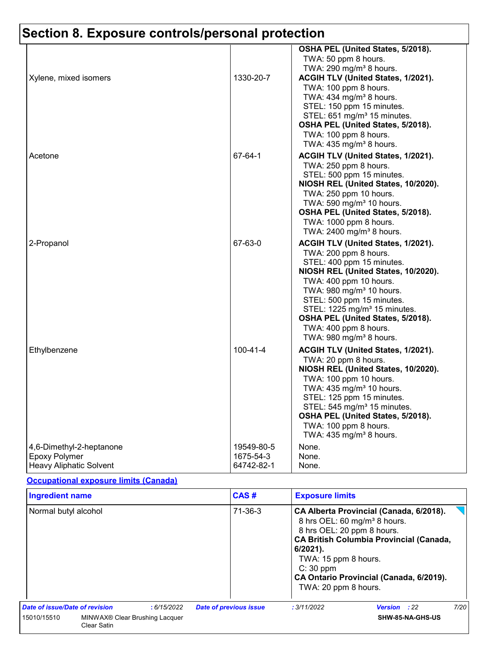|                                                  |                | OSHA PEL (United States, 5/2018).                                            |
|--------------------------------------------------|----------------|------------------------------------------------------------------------------|
|                                                  |                | TWA: 50 ppm 8 hours.                                                         |
|                                                  |                | TWA: 290 mg/m <sup>3</sup> 8 hours.                                          |
| Xylene, mixed isomers                            | 1330-20-7      | ACGIH TLV (United States, 1/2021).                                           |
|                                                  |                | TWA: 100 ppm 8 hours.                                                        |
|                                                  |                | TWA: 434 mg/m <sup>3</sup> 8 hours.                                          |
|                                                  |                | STEL: 150 ppm 15 minutes.                                                    |
|                                                  |                | STEL: 651 mg/m <sup>3</sup> 15 minutes.                                      |
|                                                  |                | OSHA PEL (United States, 5/2018).                                            |
|                                                  |                | TWA: 100 ppm 8 hours.                                                        |
|                                                  |                | TWA: 435 mg/m <sup>3</sup> 8 hours.                                          |
| Acetone                                          | 67-64-1        | ACGIH TLV (United States, 1/2021).                                           |
|                                                  |                | TWA: 250 ppm 8 hours.                                                        |
|                                                  |                | STEL: 500 ppm 15 minutes.                                                    |
|                                                  |                | NIOSH REL (United States, 10/2020).                                          |
|                                                  |                | TWA: 250 ppm 10 hours.                                                       |
|                                                  |                | TWA: 590 mg/m <sup>3</sup> 10 hours.                                         |
|                                                  |                | OSHA PEL (United States, 5/2018).                                            |
|                                                  |                | TWA: 1000 ppm 8 hours.                                                       |
|                                                  |                | TWA: 2400 mg/m <sup>3</sup> 8 hours.                                         |
| 2-Propanol                                       | 67-63-0        | ACGIH TLV (United States, 1/2021).                                           |
|                                                  |                | TWA: 200 ppm 8 hours.                                                        |
|                                                  |                | STEL: 400 ppm 15 minutes.                                                    |
|                                                  |                | NIOSH REL (United States, 10/2020).                                          |
|                                                  |                | TWA: 400 ppm 10 hours.                                                       |
|                                                  |                | TWA: 980 mg/m <sup>3</sup> 10 hours.                                         |
|                                                  |                | STEL: 500 ppm 15 minutes.                                                    |
|                                                  |                | STEL: 1225 mg/m <sup>3</sup> 15 minutes.                                     |
|                                                  |                | OSHA PEL (United States, 5/2018).                                            |
|                                                  |                | TWA: 400 ppm 8 hours.                                                        |
|                                                  |                | TWA: 980 mg/m <sup>3</sup> 8 hours.                                          |
| Ethylbenzene                                     | $100 - 41 - 4$ | ACGIH TLV (United States, 1/2021).                                           |
|                                                  |                | TWA: 20 ppm 8 hours.                                                         |
|                                                  |                | NIOSH REL (United States, 10/2020).                                          |
|                                                  |                | TWA: 100 ppm 10 hours.                                                       |
|                                                  |                | TWA: 435 mg/m <sup>3</sup> 10 hours.                                         |
|                                                  |                | STEL: 125 ppm 15 minutes.                                                    |
|                                                  |                | STEL: 545 mg/m <sup>3</sup> 15 minutes.<br>OSHA PEL (United States, 5/2018). |
|                                                  |                | TWA: 100 ppm 8 hours.                                                        |
|                                                  |                | TWA: 435 mg/m <sup>3</sup> 8 hours.                                          |
|                                                  | 19549-80-5     | None.                                                                        |
| 4,6-Dimethyl-2-heptanone<br><b>Epoxy Polymer</b> | 1675-54-3      | None.                                                                        |
| <b>Heavy Aliphatic Solvent</b>                   | 64742-82-1     | None.                                                                        |
|                                                  |                |                                                                              |

#### **Occupational exposure limits (Canada)**

| <b>Ingredient name</b>                                                   |  |               | CAS#                          | <b>Exposure limits</b>                                                                                                                                                                                                                                         |                     |      |
|--------------------------------------------------------------------------|--|---------------|-------------------------------|----------------------------------------------------------------------------------------------------------------------------------------------------------------------------------------------------------------------------------------------------------------|---------------------|------|
| Normal butyl alcohol                                                     |  | $71 - 36 - 3$ | $6/2021$ .<br>$C: 30$ ppm     | CA Alberta Provincial (Canada, 6/2018).<br>8 hrs OEL: 60 mg/m <sup>3</sup> 8 hours.<br>8 hrs OEL: 20 ppm 8 hours.<br><b>CA British Columbia Provincial (Canada,</b><br>TWA: 15 ppm 8 hours.<br>CA Ontario Provincial (Canada, 6/2019).<br>TWA: 20 ppm 8 hours. |                     |      |
| Date of issue/Date of revision                                           |  | :6/15/2022    | <b>Date of previous issue</b> | : 3/11/2022                                                                                                                                                                                                                                                    | <b>Version</b> : 22 | 7/20 |
| 15010/15510<br>MINWAX <sup>®</sup> Clear Brushing Lacquer<br>Clear Satin |  |               |                               | SHW-85-NA-GHS-US                                                                                                                                                                                                                                               |                     |      |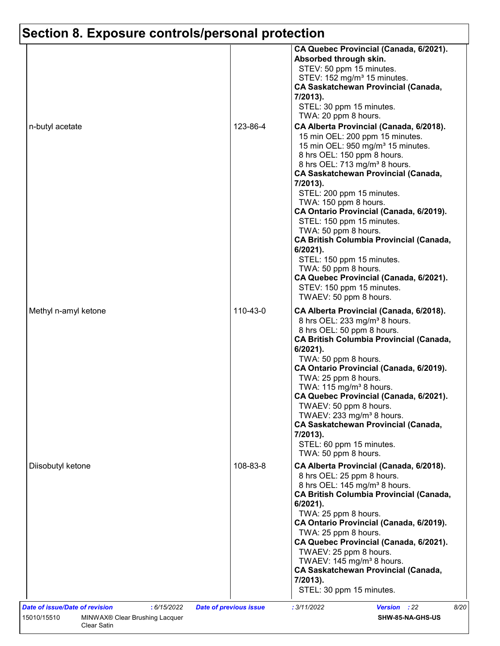| n-butyl acetate      | 123-86-4 | CA Quebec Provincial (Canada, 6/2021).<br>Absorbed through skin.<br>STEV: 50 ppm 15 minutes.<br>STEV: 152 mg/m <sup>3</sup> 15 minutes.<br><b>CA Saskatchewan Provincial (Canada,</b><br>7/2013).<br>STEL: 30 ppm 15 minutes.<br>TWA: 20 ppm 8 hours.<br>CA Alberta Provincial (Canada, 6/2018).<br>15 min OEL: 200 ppm 15 minutes.<br>15 min OEL: 950 mg/m <sup>3</sup> 15 minutes.<br>8 hrs OEL: 150 ppm 8 hours.<br>8 hrs OEL: 713 mg/m <sup>3</sup> 8 hours.<br><b>CA Saskatchewan Provincial (Canada,</b><br>7/2013).<br>STEL: 200 ppm 15 minutes.<br>TWA: 150 ppm 8 hours.<br>CA Ontario Provincial (Canada, 6/2019).<br>STEL: 150 ppm 15 minutes. |
|----------------------|----------|----------------------------------------------------------------------------------------------------------------------------------------------------------------------------------------------------------------------------------------------------------------------------------------------------------------------------------------------------------------------------------------------------------------------------------------------------------------------------------------------------------------------------------------------------------------------------------------------------------------------------------------------------------|
|                      |          | TWA: 50 ppm 8 hours.<br><b>CA British Columbia Provincial (Canada,</b><br>6/2021).<br>STEL: 150 ppm 15 minutes.<br>TWA: 50 ppm 8 hours.<br>CA Quebec Provincial (Canada, 6/2021).<br>STEV: 150 ppm 15 minutes.<br>TWAEV: 50 ppm 8 hours.                                                                                                                                                                                                                                                                                                                                                                                                                 |
| Methyl n-amyl ketone | 110-43-0 | CA Alberta Provincial (Canada, 6/2018).<br>8 hrs OEL: 233 mg/m <sup>3</sup> 8 hours.<br>8 hrs OEL: 50 ppm 8 hours.<br><b>CA British Columbia Provincial (Canada,</b><br>$6/2021$ ).<br>TWA: 50 ppm 8 hours.<br>CA Ontario Provincial (Canada, 6/2019).<br>TWA: 25 ppm 8 hours.<br>TWA: $115 \text{ mg/m}^3$ 8 hours.<br>CA Quebec Provincial (Canada, 6/2021).<br>TWAEV: 50 ppm 8 hours.<br>TWAEV: 233 mg/m <sup>3</sup> 8 hours.<br><b>CA Saskatchewan Provincial (Canada,</b><br>7/2013).<br>STEL: 60 ppm 15 minutes.<br>TWA: 50 ppm 8 hours.                                                                                                          |
| Diisobutyl ketone    | 108-83-8 | CA Alberta Provincial (Canada, 6/2018).<br>8 hrs OEL: 25 ppm 8 hours.<br>8 hrs OEL: 145 mg/m <sup>3</sup> 8 hours.<br><b>CA British Columbia Provincial (Canada,</b><br>$6/2021$ ).<br>TWA: 25 ppm 8 hours.<br>CA Ontario Provincial (Canada, 6/2019).<br>TWA: 25 ppm 8 hours.<br>CA Quebec Provincial (Canada, 6/2021).<br>TWAEV: 25 ppm 8 hours.<br>TWAEV: 145 mg/m <sup>3</sup> 8 hours.<br><b>CA Saskatchewan Provincial (Canada,</b><br>7/2013).<br>STEL: 30 ppm 15 minutes.                                                                                                                                                                        |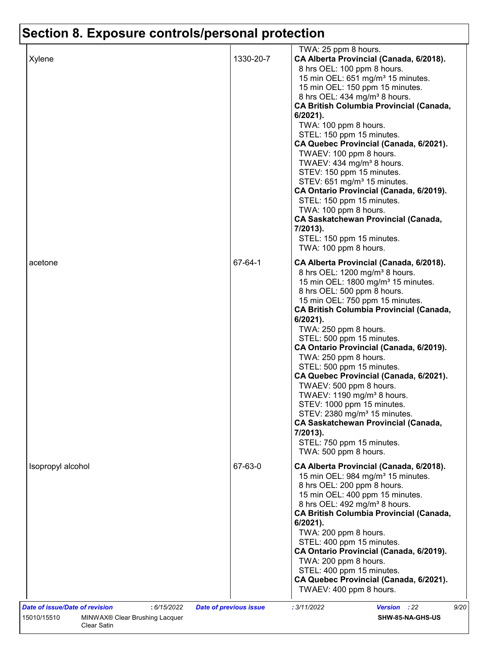|         | 8 hrs OEL: 100 ppm 8 hours.<br>15 min OEL: 651 mg/m <sup>3</sup> 15 minutes.<br>15 min OEL: 150 ppm 15 minutes.<br>8 hrs OEL: 434 mg/m <sup>3</sup> 8 hours.<br><b>CA British Columbia Provincial (Canada,</b><br>6/2021).<br>TWA: 100 ppm 8 hours.<br>STEL: 150 ppm 15 minutes.<br>CA Quebec Provincial (Canada, 6/2021).<br>TWAEV: 100 ppm 8 hours.<br>TWAEV: 434 mg/m <sup>3</sup> 8 hours.<br>STEV: 150 ppm 15 minutes.<br>STEV: 651 mg/m <sup>3</sup> 15 minutes.<br>CA Ontario Provincial (Canada, 6/2019).<br>STEL: 150 ppm 15 minutes.<br>TWA: 100 ppm 8 hours.<br><b>CA Saskatchewan Provincial (Canada,</b><br>7/2013).<br>STEL: 150 ppm 15 minutes.                                                                                                      |
|---------|---------------------------------------------------------------------------------------------------------------------------------------------------------------------------------------------------------------------------------------------------------------------------------------------------------------------------------------------------------------------------------------------------------------------------------------------------------------------------------------------------------------------------------------------------------------------------------------------------------------------------------------------------------------------------------------------------------------------------------------------------------------------|
| 67-64-1 | TWA: 100 ppm 8 hours.<br>CA Alberta Provincial (Canada, 6/2018).<br>8 hrs OEL: 1200 mg/m <sup>3</sup> 8 hours.<br>15 min OEL: 1800 mg/m <sup>3</sup> 15 minutes.<br>8 hrs OEL: 500 ppm 8 hours.<br>15 min OEL: 750 ppm 15 minutes.<br><b>CA British Columbia Provincial (Canada,</b><br>$6/2021$ ).<br>TWA: 250 ppm 8 hours.<br>STEL: 500 ppm 15 minutes.<br>CA Ontario Provincial (Canada, 6/2019).<br>TWA: 250 ppm 8 hours.<br>STEL: 500 ppm 15 minutes.<br>CA Quebec Provincial (Canada, 6/2021).<br>TWAEV: 500 ppm 8 hours.<br>TWAEV: 1190 mg/m <sup>3</sup> 8 hours.<br>STEV: 1000 ppm 15 minutes.<br>STEV: 2380 mg/m <sup>3</sup> 15 minutes.<br><b>CA Saskatchewan Provincial (Canada,</b><br>7/2013).<br>STEL: 750 ppm 15 minutes.<br>TWA: 500 ppm 8 hours. |
| 67-63-0 | CA Alberta Provincial (Canada, 6/2018).<br>15 min OEL: 984 mg/m <sup>3</sup> 15 minutes.<br>8 hrs OEL: 200 ppm 8 hours.<br>15 min OEL: 400 ppm 15 minutes.<br>8 hrs OEL: 492 mg/m <sup>3</sup> 8 hours.<br><b>CA British Columbia Provincial (Canada,</b><br>6/2021).<br>TWA: 200 ppm 8 hours.<br>STEL: 400 ppm 15 minutes.<br>CA Ontario Provincial (Canada, 6/2019).<br>TWA: 200 ppm 8 hours.<br>STEL: 400 ppm 15 minutes.<br>CA Quebec Provincial (Canada, 6/2021).<br>TWAEV: 400 ppm 8 hours.                                                                                                                                                                                                                                                                   |
|         |                                                                                                                                                                                                                                                                                                                                                                                                                                                                                                                                                                                                                                                                                                                                                                     |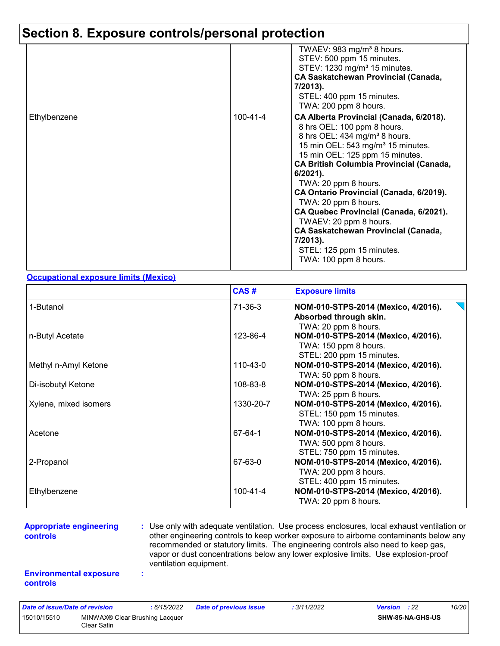|              |          | TWAEV: 983 mg/m <sup>3</sup> 8 hours.<br>STEV: 500 ppm 15 minutes.<br>STEV: 1230 mg/m <sup>3</sup> 15 minutes.<br><b>CA Saskatchewan Provincial (Canada,</b><br>7/2013).<br>STEL: 400 ppm 15 minutes.<br>TWA: 200 ppm 8 hours.                                                                                                                                                                                                                                                                                                                             |
|--------------|----------|------------------------------------------------------------------------------------------------------------------------------------------------------------------------------------------------------------------------------------------------------------------------------------------------------------------------------------------------------------------------------------------------------------------------------------------------------------------------------------------------------------------------------------------------------------|
| Ethylbenzene | 100-41-4 | CA Alberta Provincial (Canada, 6/2018).<br>8 hrs OEL: 100 ppm 8 hours.<br>8 hrs OEL: 434 mg/m <sup>3</sup> 8 hours.<br>15 min OEL: 543 mg/m <sup>3</sup> 15 minutes.<br>15 min OEL: 125 ppm 15 minutes.<br><b>CA British Columbia Provincial (Canada,</b><br>$6/2021$ ).<br>TWA: 20 ppm 8 hours.<br>CA Ontario Provincial (Canada, 6/2019).<br>TWA: 20 ppm 8 hours.<br>CA Quebec Provincial (Canada, 6/2021).<br>TWAEV: 20 ppm 8 hours.<br><b>CA Saskatchewan Provincial (Canada,</b><br>$7/2013$ ).<br>STEL: 125 ppm 15 minutes.<br>TWA: 100 ppm 8 hours. |

#### **Occupational exposure limits (Mexico)**

|                       | CAS#      | <b>Exposure limits</b>                                                                    |
|-----------------------|-----------|-------------------------------------------------------------------------------------------|
| 1-Butanol             | 71-36-3   | NOM-010-STPS-2014 (Mexico, 4/2016).<br>Absorbed through skin.<br>TWA: 20 ppm 8 hours.     |
| n-Butyl Acetate       | 123-86-4  | NOM-010-STPS-2014 (Mexico, 4/2016).<br>TWA: 150 ppm 8 hours.<br>STEL: 200 ppm 15 minutes. |
| Methyl n-Amyl Ketone  | 110-43-0  | NOM-010-STPS-2014 (Mexico, 4/2016).<br>TWA: 50 ppm 8 hours.                               |
| Di-isobutyl Ketone    | 108-83-8  | NOM-010-STPS-2014 (Mexico, 4/2016).<br>TWA: 25 ppm 8 hours.                               |
| Xylene, mixed isomers | 1330-20-7 | NOM-010-STPS-2014 (Mexico, 4/2016).<br>STEL: 150 ppm 15 minutes.<br>TWA: 100 ppm 8 hours. |
| Acetone               | 67-64-1   | NOM-010-STPS-2014 (Mexico, 4/2016).<br>TWA: 500 ppm 8 hours.<br>STEL: 750 ppm 15 minutes. |
| 2-Propanol            | 67-63-0   | NOM-010-STPS-2014 (Mexico, 4/2016).<br>TWA: 200 ppm 8 hours.<br>STEL: 400 ppm 15 minutes. |
| Ethylbenzene          | 100-41-4  | NOM-010-STPS-2014 (Mexico, 4/2016).<br>TWA: 20 ppm 8 hours.                               |

#### **Appropriate engineering controls**

**:** Use only with adequate ventilation. Use process enclosures, local exhaust ventilation or other engineering controls to keep worker exposure to airborne contaminants below any recommended or statutory limits. The engineering controls also need to keep gas, vapor or dust concentrations below any lower explosive limits. Use explosion-proof ventilation equipment.

#### **Environmental exposure controls**

**:**

| Date of issue/Date of revision |                                               | : 6/15/2022 | <b>Date of previous issue</b> | : 3/11/2022 | <b>Version</b> : 22 |                         | 10/20 |
|--------------------------------|-----------------------------------------------|-------------|-------------------------------|-------------|---------------------|-------------------------|-------|
| 15010/15510                    | MINWAX® Clear Brushing Lacquer<br>Clear Satin |             |                               |             |                     | <b>SHW-85-NA-GHS-US</b> |       |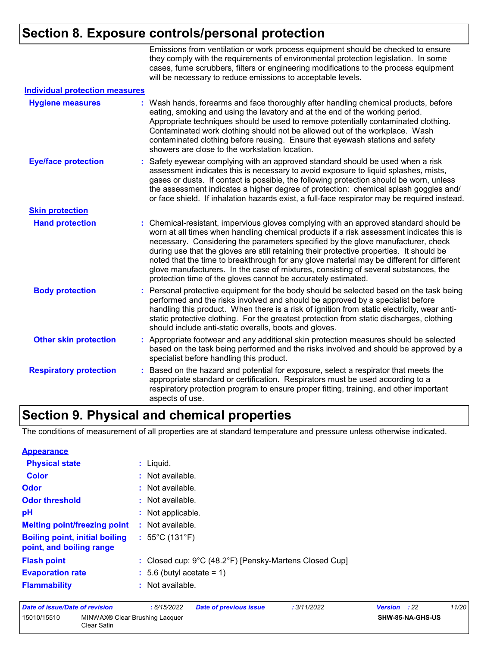Emissions from ventilation or work process equipment should be checked to ensure they comply with the requirements of environmental protection legislation. In some cases, fume scrubbers, filters or engineering modifications to the process equipment will be necessary to reduce emissions to acceptable levels.

| <b>Individual protection measures</b> |    |                                                                                                                                                                                                                                                                                                                                                                                                                                                                                                                                                                                                                        |
|---------------------------------------|----|------------------------------------------------------------------------------------------------------------------------------------------------------------------------------------------------------------------------------------------------------------------------------------------------------------------------------------------------------------------------------------------------------------------------------------------------------------------------------------------------------------------------------------------------------------------------------------------------------------------------|
| <b>Hygiene measures</b>               |    | Wash hands, forearms and face thoroughly after handling chemical products, before<br>eating, smoking and using the lavatory and at the end of the working period.<br>Appropriate techniques should be used to remove potentially contaminated clothing.<br>Contaminated work clothing should not be allowed out of the workplace. Wash<br>contaminated clothing before reusing. Ensure that eyewash stations and safety<br>showers are close to the workstation location.                                                                                                                                              |
| <b>Eye/face protection</b>            |    | : Safety eyewear complying with an approved standard should be used when a risk<br>assessment indicates this is necessary to avoid exposure to liquid splashes, mists,<br>gases or dusts. If contact is possible, the following protection should be worn, unless<br>the assessment indicates a higher degree of protection: chemical splash goggles and/<br>or face shield. If inhalation hazards exist, a full-face respirator may be required instead.                                                                                                                                                              |
| <b>Skin protection</b>                |    |                                                                                                                                                                                                                                                                                                                                                                                                                                                                                                                                                                                                                        |
| <b>Hand protection</b>                |    | : Chemical-resistant, impervious gloves complying with an approved standard should be<br>worn at all times when handling chemical products if a risk assessment indicates this is<br>necessary. Considering the parameters specified by the glove manufacturer, check<br>during use that the gloves are still retaining their protective properties. It should be<br>noted that the time to breakthrough for any glove material may be different for different<br>glove manufacturers. In the case of mixtures, consisting of several substances, the<br>protection time of the gloves cannot be accurately estimated. |
| <b>Body protection</b>                |    | : Personal protective equipment for the body should be selected based on the task being<br>performed and the risks involved and should be approved by a specialist before<br>handling this product. When there is a risk of ignition from static electricity, wear anti-<br>static protective clothing. For the greatest protection from static discharges, clothing<br>should include anti-static overalls, boots and gloves.                                                                                                                                                                                         |
| <b>Other skin protection</b>          |    | : Appropriate footwear and any additional skin protection measures should be selected<br>based on the task being performed and the risks involved and should be approved by a<br>specialist before handling this product.                                                                                                                                                                                                                                                                                                                                                                                              |
| <b>Respiratory protection</b>         | ÷. | Based on the hazard and potential for exposure, select a respirator that meets the<br>appropriate standard or certification. Respirators must be used according to a<br>respiratory protection program to ensure proper fitting, training, and other important<br>aspects of use.                                                                                                                                                                                                                                                                                                                                      |

### **Section 9. Physical and chemical properties**

The conditions of measurement of all properties are at standard temperature and pressure unless otherwise indicated.

| <b>Appearance</b>                                                 |                                                                             |
|-------------------------------------------------------------------|-----------------------------------------------------------------------------|
| <b>Physical state</b>                                             | : Liquid.                                                                   |
| <b>Color</b>                                                      | : Not available.                                                            |
| Odor                                                              | : Not available.                                                            |
| <b>Odor threshold</b>                                             | $\cdot$ Not available.                                                      |
| pH                                                                | : Not applicable.                                                           |
| <b>Melting point/freezing point</b>                               | Not available.<br>÷.                                                        |
| <b>Boiling point, initial boiling</b><br>point, and boiling range | : $55^{\circ}$ C (131 $^{\circ}$ F)                                         |
| <b>Flash point</b>                                                | : Closed cup: $9^{\circ}$ C (48.2 $^{\circ}$ F) [Pensky-Martens Closed Cup] |
| <b>Evaporation rate</b>                                           | $\div$ 5.6 (butyl acetate = 1)                                              |
| <b>Flammability</b>                                               | : Not available.                                                            |

| Date of issue/Date of revision |             | : 6/15/2022                                | <b>Date of previous issue</b> | : 3/11/2022 | <b>Version</b> : 22 | 11/20 |
|--------------------------------|-------------|--------------------------------------------|-------------------------------|-------------|---------------------|-------|
| 15010/15510                    | Clear Satin | MINWAX <sup>®</sup> Clear Brushing Lacquer |                               |             | SHW-85-NA-GHS-US    |       |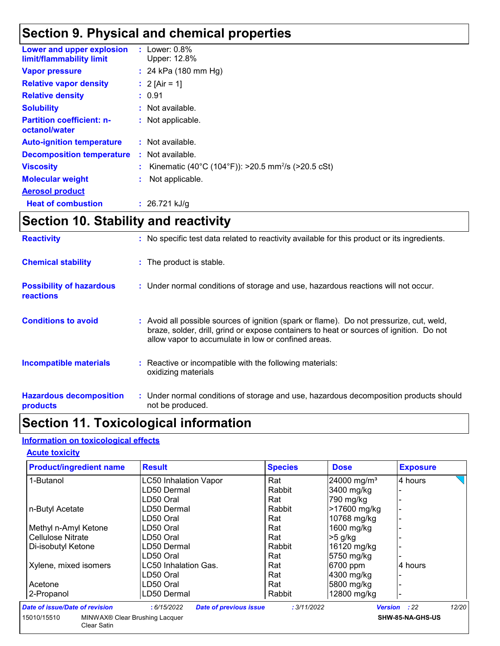### **Section 9. Physical and chemical properties**

| Lower and upper explosion<br>limit/flammability limit | : Lower: $0.8\%$<br>Upper: 12.8%                                 |
|-------------------------------------------------------|------------------------------------------------------------------|
| <b>Vapor pressure</b>                                 | : 24 kPa $(180 \text{ mm Hg})$                                   |
| <b>Relative vapor density</b>                         | : 2 [Air = 1]                                                    |
| <b>Relative density</b>                               | : 0.91                                                           |
| <b>Solubility</b>                                     | : Not available.                                                 |
| <b>Partition coefficient: n-</b><br>octanol/water     | : Not applicable.                                                |
| <b>Auto-ignition temperature</b>                      | : Not available.                                                 |
| <b>Decomposition temperature</b>                      | $:$ Not available.                                               |
| <b>Viscosity</b>                                      | : Kinematic (40°C (104°F)): >20.5 mm <sup>2</sup> /s (>20.5 cSt) |
| <b>Molecular weight</b>                               | Not applicable.                                                  |
| <b>Aerosol product</b>                                |                                                                  |
| <b>Heat of combustion</b>                             | : $26.721$ kJ/g                                                  |

### **Section 10. Stability and reactivity**

| <b>Reactivity</b>                                   | : No specific test data related to reactivity available for this product or its ingredients.                                                                                                                                               |
|-----------------------------------------------------|--------------------------------------------------------------------------------------------------------------------------------------------------------------------------------------------------------------------------------------------|
| <b>Chemical stability</b>                           | : The product is stable.                                                                                                                                                                                                                   |
| <b>Possibility of hazardous</b><br><b>reactions</b> | : Under normal conditions of storage and use, hazardous reactions will not occur.                                                                                                                                                          |
| <b>Conditions to avoid</b>                          | : Avoid all possible sources of ignition (spark or flame). Do not pressurize, cut, weld,<br>braze, solder, drill, grind or expose containers to heat or sources of ignition. Do not<br>allow vapor to accumulate in low or confined areas. |
| <b>Incompatible materials</b>                       | : Reactive or incompatible with the following materials:<br>oxidizing materials                                                                                                                                                            |
| <b>Hazardous decomposition</b><br>products          | : Under normal conditions of storage and use, hazardous decomposition products should<br>not be produced.                                                                                                                                  |

### **Section 11. Toxicological information**

#### **Information on toxicological effects**

Clear Satin

#### **Acute toxicity**

| <b>Product/ingredient name</b>                | <b>Result</b>                                | <b>Species</b> | <b>Dose</b>             | <b>Exposure</b>                |
|-----------------------------------------------|----------------------------------------------|----------------|-------------------------|--------------------------------|
| 1-Butanol                                     | <b>LC50 Inhalation Vapor</b>                 | Rat            | 24000 mg/m <sup>3</sup> | 4 hours                        |
|                                               | LD50 Dermal                                  | Rabbit         | 3400 mg/kg              |                                |
|                                               | LD50 Oral                                    | Rat            | 790 mg/kg               |                                |
| n-Butyl Acetate                               | LD50 Dermal                                  | Rabbit         | >17600 mg/kg            |                                |
|                                               | LD50 Oral                                    | Rat            | 10768 mg/kg             |                                |
| Methyl n-Amyl Ketone                          | LD50 Oral                                    | Rat            | 1600 mg/kg              |                                |
| <b>Cellulose Nitrate</b>                      | LD50 Oral                                    | Rat            | $>5$ g/kg               |                                |
| Di-isobutyl Ketone                            | LD50 Dermal                                  | Rabbit         | 16120 mg/kg             |                                |
|                                               | LD50 Oral                                    | Rat            | 5750 mg/kg              |                                |
| Xylene, mixed isomers                         | <b>LC50 Inhalation Gas.</b>                  | Rat            | 6700 ppm                | 4 hours                        |
|                                               | LD50 Oral                                    | Rat            | 4300 mg/kg              |                                |
| Acetone                                       | LD50 Oral                                    | Rat            | 5800 mg/kg              |                                |
| 2-Propanol                                    | LD50 Dermal                                  | Rabbit         | 12800 mg/kg             |                                |
| <b>Date of issue/Date of revision</b>         | : 6/15/2022<br><b>Date of previous issue</b> | : 3/11/2022    |                         | 12/20<br>:22<br><b>Version</b> |
| MINWAX® Clear Brushing Lacquer<br>15010/15510 |                                              |                |                         | SHW-85-NA-GHS-US               |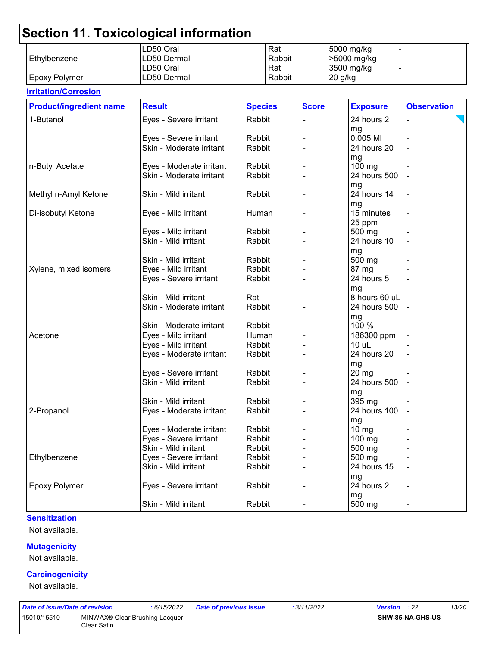|                      | LD50 Oral   | Rat    | 5000 mg/kg  |  |
|----------------------|-------------|--------|-------------|--|
| l Ethvlbenzene       | LD50 Dermal | Rabbit | -5000 mg/kg |  |
|                      | LD50 Oral   | Rat    | 3500 mg/kg  |  |
| <b>Epoxy Polymer</b> | LD50 Dermal | Rabbit | 20 g/kg     |  |

#### **Irritation/Corrosion** 1-Butanol **Eyes - Severe irritant** Rabbit |- 24 hours 2 mg - Eyes - Severe irritant Rabbit - 0.005 Ml - Skin - Moderate irritant mg<br>100 ma n-Butyl Acetate Eyes - Moderate irritant Rabbit - 100 mg - Skin - Moderate irritant mg - Methyl n-Amyl Ketone  $\vert$ Skin - Mild irritant  $\vert$ Rabbit  $\vert$  - 24 hours 14 mg - Di-isobutyl Ketone Eyes - Mild irritant Human - 15 minutes 25 ppm - Eyes - Mild irritant  $\vert$  Rabbit  $\vert$  -  $\vert$  -  $\vert$  500 mg Skin - Mild irritant  $\vert$ Rabbit  $\vert$  -  $\vert$  24 hours 10 mg - Skin - Mild irritant  $|R$ Rabbit  $|$  -  $|$  500 mg  $X$ ylene, mixed isomers  $\qquad$  Eyes - Mild irritant  $\qquad$  Rabbit  $\qquad$  - 87 mg Eyes - Severe irritant Rabbit - 24 hours 5 mg - Skin - Mild irritant - Rat - Rat - 8 hours 60 uL Skin - Moderate irritant | Rabbit | - | 24 hours 500 mg<br>100 % - Skin - Moderate irritant - 1 Rabbit Acetone Eyes - Mild irritant Human - 186300 ppm - Eyes - Mild irritant Rabbit - 10 uL - Eyes - Moderate irritant  $\begin{array}{|c|c|c|c|c|c|}\n\hline\n\end{array}$  Rabbit  $\begin{array}{|c|c|c|c|c|c|c|c|}\n\hline\n\end{array}$  24 hours 20 mg<br>20 mg - Eyes - Severe irritant | Rabbit Skin - Mild irritant  $\vert$  Rabbit  $\vert$  -  $\vert$  24 hours 500 mg - Skin - Mild irritant - Rabbit - 1. 1395 mg 2-Propanol Eyes - Moderate irritant Rabbit - 24 hours 100 mg - Eyes - Moderate irritant | Rabbit | - 10 mg Eyes - Severe irritant | Rabbit | - 100 mg Skin - Mild irritant  $\vert$ Rabbit  $\vert$  -  $\vert$  500 mg Ethylbenzene Eyes - Severe irritant Rabbit - 500 mg - Skin - Mild irritant  $\vert$  Rabbit  $\vert$  -  $\vert$  24 hours 15 mg - Epoxy Polymer **Exercity** Experiment Exercise irritant Rabbit  $\vert$  - 24 hours 2 mg - Skin - Mild irritant  $\vert$  Rabbit  $\vert$  -  $\vert$  - 500 mg **Product/ingredient name** Result **Result All Species** Score **Exposure** Observation **Species**

#### **Sensitization**

Not available.

#### **Mutagenicity**

Not available.

#### **Carcinogenicity**

Not available.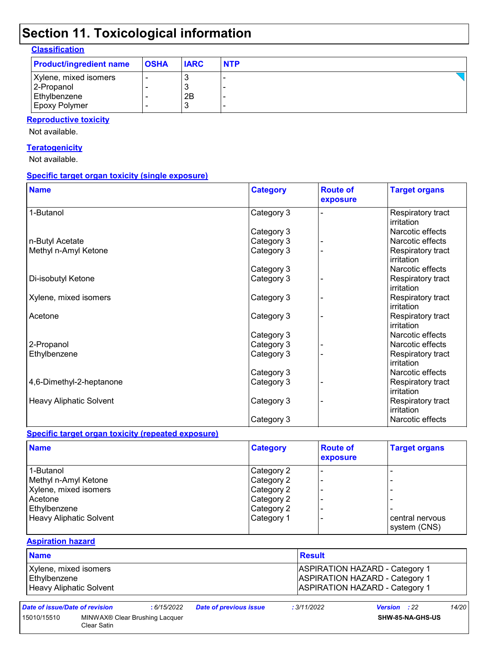| <b>Classification</b> |
|-----------------------|
|-----------------------|

| <b>Product/ingredient name</b> | <b>OSHA</b> | <b>IARC</b> | <b>NTP</b> |
|--------------------------------|-------------|-------------|------------|
| Xylene, mixed isomers          |             |             |            |
| 2-Propanol                     |             |             |            |
| Ethylbenzene                   |             | 2Β          |            |
| <b>Epoxy Polymer</b>           |             |             |            |

#### **Reproductive toxicity**

Not available.

#### **Teratogenicity**

Not available.

#### **Specific target organ toxicity (single exposure)**

| <b>Name</b>                    | <b>Category</b> | <b>Route of</b><br>exposure | <b>Target organs</b>            |
|--------------------------------|-----------------|-----------------------------|---------------------------------|
| 1-Butanol                      | Category 3      |                             | Respiratory tract<br>irritation |
|                                | Category 3      |                             | Narcotic effects                |
| n-Butyl Acetate                | Category 3      |                             | Narcotic effects                |
| Methyl n-Amyl Ketone           | Category 3      |                             | Respiratory tract<br>irritation |
|                                | Category 3      |                             | Narcotic effects                |
| Di-isobutyl Ketone             | Category 3      |                             | Respiratory tract<br>irritation |
| Xylene, mixed isomers          | Category 3      |                             | Respiratory tract<br>irritation |
| Acetone                        | Category 3      |                             | Respiratory tract<br>irritation |
|                                | Category 3      |                             | Narcotic effects                |
| 2-Propanol                     | Category 3      |                             | Narcotic effects                |
| Ethylbenzene                   | Category 3      |                             | Respiratory tract<br>irritation |
|                                | Category 3      |                             | Narcotic effects                |
| 4,6-Dimethyl-2-heptanone       | Category 3      |                             | Respiratory tract<br>irritation |
| <b>Heavy Aliphatic Solvent</b> | Category 3      |                             | Respiratory tract<br>irritation |
|                                | Category 3      |                             | Narcotic effects                |

#### **Specific target organ toxicity (repeated exposure)**

| <b>Name</b>             | <b>Category</b> | <b>Route of</b><br>exposure | <b>Target organs</b> |
|-------------------------|-----------------|-----------------------------|----------------------|
| 1-Butanol               | Category 2      |                             |                      |
| Methyl n-Amyl Ketone    | Category 2      |                             |                      |
| Xylene, mixed isomers   | Category 2      |                             |                      |
| Acetone                 | Category 2      |                             |                      |
| Ethylbenzene            | Category 2      |                             |                      |
| Heavy Aliphatic Solvent | Category 1      |                             | central nervous      |
|                         |                 |                             | system (CNS)         |

#### **Aspiration hazard**

| <b>Name</b>             | <b>Result</b>                         |
|-------------------------|---------------------------------------|
| Xylene, mixed isomers   | <b>ASPIRATION HAZARD - Category 1</b> |
| Ethylbenzene            | <b>ASPIRATION HAZARD - Category 1</b> |
| Heavy Aliphatic Solvent | <b>ASPIRATION HAZARD - Category 1</b> |

Clear Satin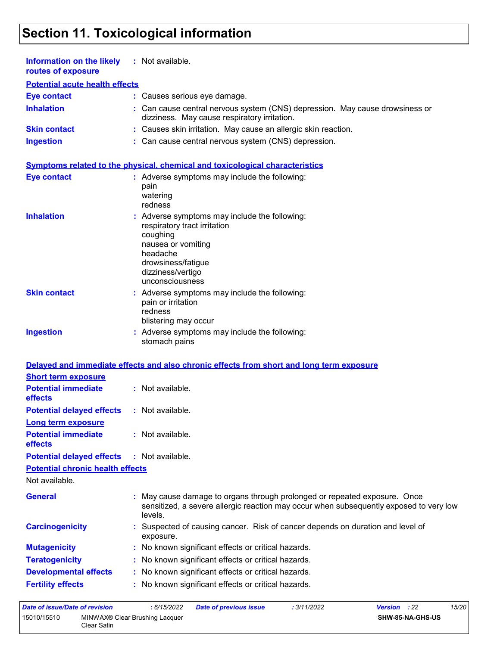| Information on the likely<br>routes of exposure             | : Not available.                                                                                                                                                                          |
|-------------------------------------------------------------|-------------------------------------------------------------------------------------------------------------------------------------------------------------------------------------------|
| <b>Potential acute health effects</b>                       |                                                                                                                                                                                           |
| <b>Eye contact</b>                                          | : Causes serious eye damage.                                                                                                                                                              |
| <b>Inhalation</b>                                           | Can cause central nervous system (CNS) depression. May cause drowsiness or<br>dizziness. May cause respiratory irritation.                                                                |
| <b>Skin contact</b>                                         | : Causes skin irritation. May cause an allergic skin reaction.                                                                                                                            |
| <b>Ingestion</b>                                            | : Can cause central nervous system (CNS) depression.                                                                                                                                      |
|                                                             | Symptoms related to the physical, chemical and toxicological characteristics                                                                                                              |
| <b>Eye contact</b>                                          | : Adverse symptoms may include the following:<br>pain<br>watering<br>redness                                                                                                              |
| <b>Inhalation</b>                                           | : Adverse symptoms may include the following:<br>respiratory tract irritation<br>coughing<br>nausea or vomiting<br>headache<br>drowsiness/fatigue<br>dizziness/vertigo<br>unconsciousness |
| <b>Skin contact</b>                                         | : Adverse symptoms may include the following:<br>pain or irritation<br>redness<br>blistering may occur                                                                                    |
| <b>Ingestion</b>                                            | : Adverse symptoms may include the following:<br>stomach pains                                                                                                                            |
|                                                             | Delayed and immediate effects and also chronic effects from short and long term exposure                                                                                                  |
| <b>Short term exposure</b>                                  |                                                                                                                                                                                           |
| <b>Potential immediate</b><br>effects                       | : Not available.                                                                                                                                                                          |
| <b>Potential delayed effects</b>                            | : Not available.                                                                                                                                                                          |
| Long term exposure<br><b>Potential immediate</b><br>effects | : Not available.                                                                                                                                                                          |
| <b>Potential delayed effects</b>                            | : Not available.                                                                                                                                                                          |
| <b>Potential chronic health effects</b><br>Not available.   |                                                                                                                                                                                           |
| <b>General</b>                                              | May cause damage to organs through prolonged or repeated exposure. Once<br>sensitized, a severe allergic reaction may occur when subsequently exposed to very low<br>levels.              |
| <b>Carcinogenicity</b>                                      | Suspected of causing cancer. Risk of cancer depends on duration and level of<br>exposure.                                                                                                 |
| <b>Mutagenicity</b>                                         | : No known significant effects or critical hazards.                                                                                                                                       |
| <b>Teratogenicity</b>                                       | : No known significant effects or critical hazards.                                                                                                                                       |
| <b>Developmental effects</b>                                | : No known significant effects or critical hazards.                                                                                                                                       |
| <b>Fertility effects</b>                                    | : No known significant effects or critical hazards.                                                                                                                                       |
|                                                             |                                                                                                                                                                                           |

*Date of issue/Date of revision* **:** *6/15/2022 Date of previous issue : 3/11/2022 Version : 22 15/20* 15010/15510 MINWAX® Clear Brushing Lacquer Clear Satin **SHW-85-NA-GHS-US**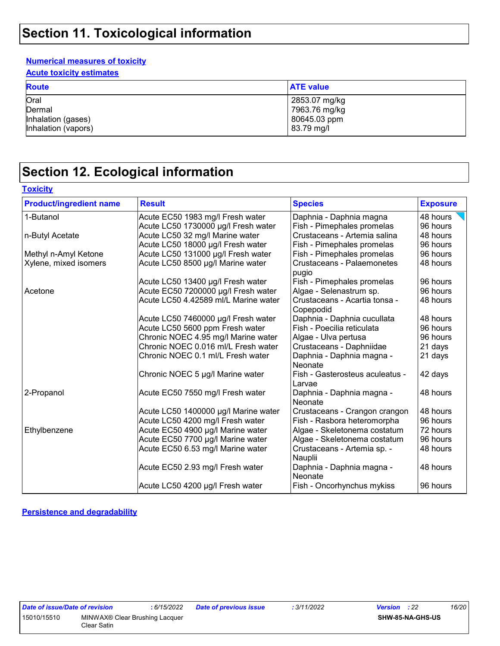#### **Numerical measures of toxicity**

**Acute toxicity estimates**

| <b>Route</b>        | <b>ATE value</b> |
|---------------------|------------------|
| Oral                | 2853.07 mg/kg    |
| Dermal              | ∣ 7963.76 mg/kg  |
| Inhalation (gases)  | 80645.03 ppm     |
| Inhalation (vapors) | 83.79 mg/l       |

### **Section 12. Ecological information**

|  |  | Toxicitv |
|--|--|----------|
|  |  |          |

| <b>Product/ingredient name</b> | <b>Result</b>                        | <b>Species</b>                             | <b>Exposure</b> |
|--------------------------------|--------------------------------------|--------------------------------------------|-----------------|
| 1-Butanol                      | Acute EC50 1983 mg/l Fresh water     | Daphnia - Daphnia magna                    | 48 hours        |
|                                | Acute LC50 1730000 µg/l Fresh water  | Fish - Pimephales promelas                 | 96 hours        |
| n-Butyl Acetate                | Acute LC50 32 mg/l Marine water      | Crustaceans - Artemia salina               | 48 hours        |
|                                | Acute LC50 18000 µg/l Fresh water    | Fish - Pimephales promelas                 | 96 hours        |
| Methyl n-Amyl Ketone           | Acute LC50 131000 µg/l Fresh water   | Fish - Pimephales promelas                 | 96 hours        |
| Xylene, mixed isomers          | Acute LC50 8500 µg/l Marine water    | <b>Crustaceans - Palaemonetes</b><br>pugio | 48 hours        |
|                                | Acute LC50 13400 µg/l Fresh water    | Fish - Pimephales promelas                 | 96 hours        |
| Acetone                        | Acute EC50 7200000 µg/l Fresh water  | Algae - Selenastrum sp.                    | 96 hours        |
|                                | Acute LC50 4.42589 ml/L Marine water | Crustaceans - Acartia tonsa -<br>Copepodid | 48 hours        |
|                                | Acute LC50 7460000 µg/l Fresh water  | Daphnia - Daphnia cucullata                | 48 hours        |
|                                | Acute LC50 5600 ppm Fresh water      | Fish - Poecilia reticulata                 | 96 hours        |
|                                | Chronic NOEC 4.95 mg/l Marine water  | Algae - Ulva pertusa                       | 96 hours        |
|                                | Chronic NOEC 0.016 ml/L Fresh water  | Crustaceans - Daphniidae                   | 21 days         |
|                                | Chronic NOEC 0.1 ml/L Fresh water    | Daphnia - Daphnia magna -<br>Neonate       | 21 days         |
|                                | Chronic NOEC 5 µg/l Marine water     | Fish - Gasterosteus aculeatus -<br>Larvae  | 42 days         |
| 2-Propanol                     | Acute EC50 7550 mg/l Fresh water     | Daphnia - Daphnia magna -<br>Neonate       | 48 hours        |
|                                | Acute LC50 1400000 µg/l Marine water | Crustaceans - Crangon crangon              | 48 hours        |
|                                | Acute LC50 4200 mg/l Fresh water     | Fish - Rasbora heteromorpha                | 96 hours        |
| Ethylbenzene                   | Acute EC50 4900 µg/l Marine water    | Algae - Skeletonema costatum               | 72 hours        |
|                                | Acute EC50 7700 µg/l Marine water    | Algae - Skeletonema costatum               | 96 hours        |
|                                | Acute EC50 6.53 mg/l Marine water    | Crustaceans - Artemia sp. -<br>Nauplii     | 48 hours        |
|                                | Acute EC50 2.93 mg/l Fresh water     | Daphnia - Daphnia magna -<br>Neonate       | 48 hours        |
|                                | Acute LC50 4200 µg/l Fresh water     | Fish - Oncorhynchus mykiss                 | 96 hours        |

**Persistence and degradability**

| Date of issue/Date of revision |              |
|--------------------------------|--------------|
| 15010/15510                    | MINWAX® Clea |
|                                | Clear Satin  |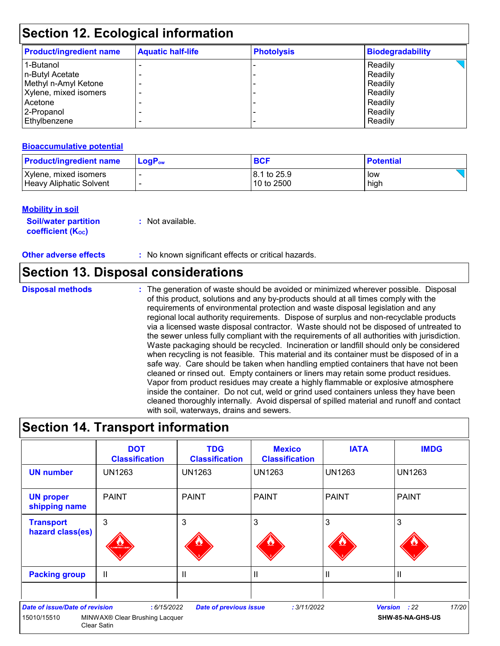| <b>Product/ingredient name</b> | <b>Aquatic half-life</b> | <b>Photolysis</b> | <b>Biodegradability</b> |
|--------------------------------|--------------------------|-------------------|-------------------------|
| 1-Butanol                      |                          |                   | Readily                 |
| n-Butyl Acetate                |                          |                   | Readily                 |
| Methyl n-Amyl Ketone           |                          |                   | Readily                 |
| Xylene, mixed isomers          |                          |                   | Readily                 |
| Acetone                        |                          |                   | Readily                 |
| 2-Propanol                     |                          |                   | Readily                 |
| Ethylbenzene                   |                          |                   | Readily                 |

#### **Bioaccumulative potential**

| <b>Product/ingredient name</b> | $\mathsf{LogP}_\mathsf{ow}$ | <b>BCF</b>   | <b>Potential</b> |
|--------------------------------|-----------------------------|--------------|------------------|
| Xylene, mixed isomers          |                             | 18.1 to 25.9 | low              |
| Heavy Aliphatic Solvent        |                             | 10 to 2500   | high             |

#### **Mobility in soil**

**Soil/water partition coefficient (K**<sub>oc</sub>)

**:** Not available.

**Other adverse effects** : No known significant effects or critical hazards.

### **Section 13. Disposal considerations**

**Disposal methods :**

The generation of waste should be avoided or minimized wherever possible. Disposal of this product, solutions and any by-products should at all times comply with the requirements of environmental protection and waste disposal legislation and any regional local authority requirements. Dispose of surplus and non-recyclable products via a licensed waste disposal contractor. Waste should not be disposed of untreated to the sewer unless fully compliant with the requirements of all authorities with jurisdiction. Waste packaging should be recycled. Incineration or landfill should only be considered when recycling is not feasible. This material and its container must be disposed of in a safe way. Care should be taken when handling emptied containers that have not been cleaned or rinsed out. Empty containers or liners may retain some product residues. Vapor from product residues may create a highly flammable or explosive atmosphere inside the container. Do not cut, weld or grind used containers unless they have been cleaned thoroughly internally. Avoid dispersal of spilled material and runoff and contact with soil, waterways, drains and sewers.

### **Section 14. Transport information**

|                                                      | <b>DOT</b><br><b>Classification</b>                                      | <b>TDG</b><br><b>Classification</b> | <b>Mexico</b><br><b>Classification</b> | <b>IATA</b>   | <b>IMDG</b>                               |
|------------------------------------------------------|--------------------------------------------------------------------------|-------------------------------------|----------------------------------------|---------------|-------------------------------------------|
| <b>UN number</b>                                     | <b>UN1263</b>                                                            | <b>UN1263</b>                       | <b>UN1263</b>                          | <b>UN1263</b> | UN1263                                    |
| <b>UN proper</b><br>shipping name                    | <b>PAINT</b>                                                             | <b>PAINT</b>                        | l PAINT                                | <b>PAINT</b>  | <b>PAINT</b>                              |
| <b>Transport</b><br>hazard class(es)                 | 3<br><b>WINABLE LIQU</b>                                                 | 3                                   | 3                                      | 3             | 3                                         |
| <b>Packing group</b>                                 | $\mathbf{I}$                                                             | Ш                                   | $\mathbf{H}$                           | $\mathbf{I}$  | II                                        |
| <b>Date of issue/Date of revision</b><br>15010/15510 | : 6/15/2022<br>MINWAX <sup>®</sup> Clear Brushing Lacquer<br>Clear Satin | <b>Date of previous issue</b>       | : 3/11/2022                            |               | 17/20<br>Version : 22<br>SHW-85-NA-GHS-US |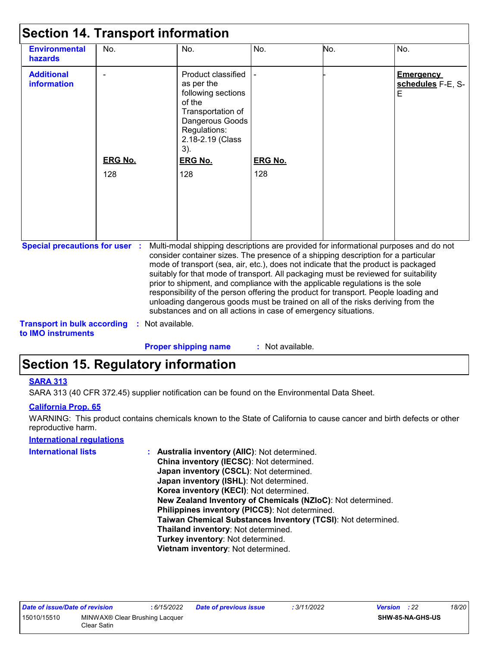| <b>Environmental</b><br>hazards                                             | No.                   | No.                                                                                                                                                                                                                                                                                                                                                                                                                                                                                                                                                                                                                                                                                 | No.                   | No. | No.                                        |  |
|-----------------------------------------------------------------------------|-----------------------|-------------------------------------------------------------------------------------------------------------------------------------------------------------------------------------------------------------------------------------------------------------------------------------------------------------------------------------------------------------------------------------------------------------------------------------------------------------------------------------------------------------------------------------------------------------------------------------------------------------------------------------------------------------------------------------|-----------------------|-----|--------------------------------------------|--|
| <b>Additional</b><br><b>information</b>                                     | <b>ERG No.</b><br>128 | Product classified<br>as per the<br>following sections<br>of the<br>Transportation of<br>Dangerous Goods<br>Regulations:<br>2.18-2.19 (Class<br>$3)$ .<br><b>ERG No.</b><br>128                                                                                                                                                                                                                                                                                                                                                                                                                                                                                                     | <b>ERG No.</b><br>128 |     | <b>Emergency</b><br>schedules F-E, S-<br>E |  |
| <b>Special precautions for user :</b><br><b>Transport in bulk according</b> | Not available.        | Multi-modal shipping descriptions are provided for informational purposes and do not<br>consider container sizes. The presence of a shipping description for a particular<br>mode of transport (sea, air, etc.), does not indicate that the product is packaged<br>suitably for that mode of transport. All packaging must be reviewed for suitability<br>prior to shipment, and compliance with the applicable regulations is the sole<br>responsibility of the person offering the product for transport. People loading and<br>unloading dangerous goods must be trained on all of the risks deriving from the<br>substances and on all actions in case of emergency situations. |                       |     |                                            |  |

**to IMO instruments**

**Proper shipping name :**

### : Not available.

### **Section 15. Regulatory information**

#### **SARA 313**

SARA 313 (40 CFR 372.45) supplier notification can be found on the Environmental Data Sheet.

#### **California Prop. 65**

WARNING: This product contains chemicals known to the State of California to cause cancer and birth defects or other reproductive harm.

#### **International regulations**

| International lists | : Australia inventory (AIIC): Not determined.                |
|---------------------|--------------------------------------------------------------|
|                     | China inventory (IECSC): Not determined.                     |
|                     | Japan inventory (CSCL): Not determined.                      |
|                     | Japan inventory (ISHL): Not determined.                      |
|                     | Korea inventory (KECI): Not determined.                      |
|                     | New Zealand Inventory of Chemicals (NZIoC): Not determined.  |
|                     | Philippines inventory (PICCS): Not determined.               |
|                     | Taiwan Chemical Substances Inventory (TCSI): Not determined. |
|                     | Thailand inventory: Not determined.                          |
|                     | Turkey inventory: Not determined.                            |
|                     | Vietnam inventory: Not determined.                           |
|                     |                                                              |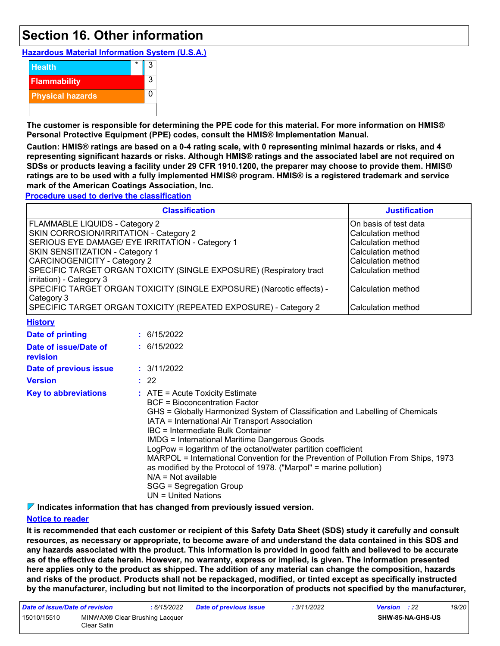### **Section 16. Other information**

**Hazardous Material Information System (U.S.A.)**



**The customer is responsible for determining the PPE code for this material. For more information on HMIS® Personal Protective Equipment (PPE) codes, consult the HMIS® Implementation Manual.**

**Caution: HMIS® ratings are based on a 0-4 rating scale, with 0 representing minimal hazards or risks, and 4 representing significant hazards or risks. Although HMIS® ratings and the associated label are not required on SDSs or products leaving a facility under 29 CFR 1910.1200, the preparer may choose to provide them. HMIS® ratings are to be used with a fully implemented HMIS® program. HMIS® is a registered trademark and service mark of the American Coatings Association, Inc.**

**Procedure used to derive the classification**

|                                                                                                                                                                                                                                                                                                                                                                                                                                                                    | <b>Classification</b>                                                                                                                                                                                                                                                                                                                                                                                                                                                                                                                                                | <b>Justification</b> |
|--------------------------------------------------------------------------------------------------------------------------------------------------------------------------------------------------------------------------------------------------------------------------------------------------------------------------------------------------------------------------------------------------------------------------------------------------------------------|----------------------------------------------------------------------------------------------------------------------------------------------------------------------------------------------------------------------------------------------------------------------------------------------------------------------------------------------------------------------------------------------------------------------------------------------------------------------------------------------------------------------------------------------------------------------|----------------------|
| FLAMMABLE LIQUIDS - Category 2<br>SKIN CORROSION/IRRITATION - Category 2<br>SERIOUS EYE DAMAGE/ EYE IRRITATION - Category 1<br>SKIN SENSITIZATION - Category 1<br><b>CARCINOGENICITY - Category 2</b><br>SPECIFIC TARGET ORGAN TOXICITY (SINGLE EXPOSURE) (Respiratory tract<br>irritation) - Category 3<br>SPECIFIC TARGET ORGAN TOXICITY (SINGLE EXPOSURE) (Narcotic effects) -<br>Category 3<br>SPECIFIC TARGET ORGAN TOXICITY (REPEATED EXPOSURE) - Category 2 | On basis of test data<br>Calculation method<br>Calculation method<br>Calculation method<br>Calculation method<br>Calculation method<br>Calculation method<br>Calculation method                                                                                                                                                                                                                                                                                                                                                                                      |                      |
| <b>History</b>                                                                                                                                                                                                                                                                                                                                                                                                                                                     |                                                                                                                                                                                                                                                                                                                                                                                                                                                                                                                                                                      |                      |
| <b>Date of printing</b>                                                                                                                                                                                                                                                                                                                                                                                                                                            | : 6/15/2022                                                                                                                                                                                                                                                                                                                                                                                                                                                                                                                                                          |                      |
| Date of issue/Date of<br>revision                                                                                                                                                                                                                                                                                                                                                                                                                                  | : 6/15/2022                                                                                                                                                                                                                                                                                                                                                                                                                                                                                                                                                          |                      |
| Date of previous issue                                                                                                                                                                                                                                                                                                                                                                                                                                             | : 3/11/2022                                                                                                                                                                                                                                                                                                                                                                                                                                                                                                                                                          |                      |
| <b>Version</b>                                                                                                                                                                                                                                                                                                                                                                                                                                                     | : 22                                                                                                                                                                                                                                                                                                                                                                                                                                                                                                                                                                 |                      |
| <b>Key to abbreviations</b>                                                                                                                                                                                                                                                                                                                                                                                                                                        | : ATE = Acute Toxicity Estimate<br><b>BCF</b> = Bioconcentration Factor<br>GHS = Globally Harmonized System of Classification and Labelling of Chemicals<br>IATA = International Air Transport Association<br><b>IBC</b> = Intermediate Bulk Container<br><b>IMDG = International Maritime Dangerous Goods</b><br>LogPow = logarithm of the octanol/water partition coefficient<br>MARPOL = International Convention for the Prevention of Pollution From Ships, 1973<br>as modified by the Protocol of 1978. ("Marpol" = marine pollution)<br>$N/A = Not available$ |                      |

SGG = Segregation Group

UN = United Nations

**Indicates information that has changed from previously issued version.**

#### **Notice to reader**

**It is recommended that each customer or recipient of this Safety Data Sheet (SDS) study it carefully and consult resources, as necessary or appropriate, to become aware of and understand the data contained in this SDS and any hazards associated with the product. This information is provided in good faith and believed to be accurate as of the effective date herein. However, no warranty, express or implied, is given. The information presented here applies only to the product as shipped. The addition of any material can change the composition, hazards and risks of the product. Products shall not be repackaged, modified, or tinted except as specifically instructed by the manufacturer, including but not limited to the incorporation of products not specified by the manufacturer,**

| Date of issue/Date of revision                               |  | : 6/15/2022 | <b>Date of previous issue</b> | : 3/11/2022      | <b>Version</b> : 22 | 19/20 |
|--------------------------------------------------------------|--|-------------|-------------------------------|------------------|---------------------|-------|
| 15010/15510<br>MINWAX® Clear Brushing Lacquer<br>Clear Satin |  |             |                               | SHW-85-NA-GHS-US |                     |       |